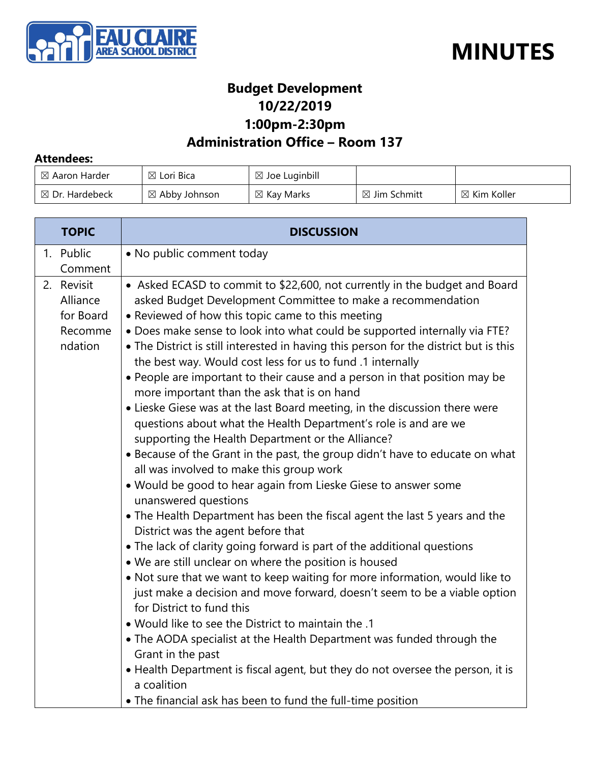



## **Budget Development 10/22/2019 1:00pm-2:30pm**

## **Administration Office – Room 137**

#### **Attendees:**

| $\boxtimes$ Aaron Harder  | $\boxtimes$ Lori Bica    | $\boxtimes$ Joe Luginbill |                         |                        |
|---------------------------|--------------------------|---------------------------|-------------------------|------------------------|
| $\boxtimes$ Dr. Hardebeck | $\boxtimes$ Abby Johnson | $\boxtimes$ Kay Marks     | $\boxtimes$ Jim Schmitt | $\boxtimes$ Kim Koller |

| <b>TOPIC</b>                                              | <b>DISCUSSION</b>                                                                                                                                                                                                                                                                                                                                                                                                                                                                                                                                                                                                                                                                                                                                                                                                                                                                                                                                                                                                                                                                                                                                                                                                                                                                                                                                                                                                                                                                                                                                                                                                                                                                                                                                                   |
|-----------------------------------------------------------|---------------------------------------------------------------------------------------------------------------------------------------------------------------------------------------------------------------------------------------------------------------------------------------------------------------------------------------------------------------------------------------------------------------------------------------------------------------------------------------------------------------------------------------------------------------------------------------------------------------------------------------------------------------------------------------------------------------------------------------------------------------------------------------------------------------------------------------------------------------------------------------------------------------------------------------------------------------------------------------------------------------------------------------------------------------------------------------------------------------------------------------------------------------------------------------------------------------------------------------------------------------------------------------------------------------------------------------------------------------------------------------------------------------------------------------------------------------------------------------------------------------------------------------------------------------------------------------------------------------------------------------------------------------------------------------------------------------------------------------------------------------------|
| 1. Public<br>Comment                                      | • No public comment today                                                                                                                                                                                                                                                                                                                                                                                                                                                                                                                                                                                                                                                                                                                                                                                                                                                                                                                                                                                                                                                                                                                                                                                                                                                                                                                                                                                                                                                                                                                                                                                                                                                                                                                                           |
| 2. Revisit<br>Alliance<br>for Board<br>Recomme<br>ndation | • Asked ECASD to commit to \$22,600, not currently in the budget and Board<br>asked Budget Development Committee to make a recommendation<br>• Reviewed of how this topic came to this meeting<br>. Does make sense to look into what could be supported internally via FTE?<br>• The District is still interested in having this person for the district but is this<br>the best way. Would cost less for us to fund .1 internally<br>• People are important to their cause and a person in that position may be<br>more important than the ask that is on hand<br>• Lieske Giese was at the last Board meeting, in the discussion there were<br>questions about what the Health Department's role is and are we<br>supporting the Health Department or the Alliance?<br>• Because of the Grant in the past, the group didn't have to educate on what<br>all was involved to make this group work<br>. Would be good to hear again from Lieske Giese to answer some<br>unanswered questions<br>• The Health Department has been the fiscal agent the last 5 years and the<br>District was the agent before that<br>• The lack of clarity going forward is part of the additional questions<br>. We are still unclear on where the position is housed<br>• Not sure that we want to keep waiting for more information, would like to<br>just make a decision and move forward, doesn't seem to be a viable option<br>for District to fund this<br>• Would like to see the District to maintain the .1<br>• The AODA specialist at the Health Department was funded through the<br>Grant in the past<br>• Health Department is fiscal agent, but they do not oversee the person, it is<br>a coalition<br>. The financial ask has been to fund the full-time position |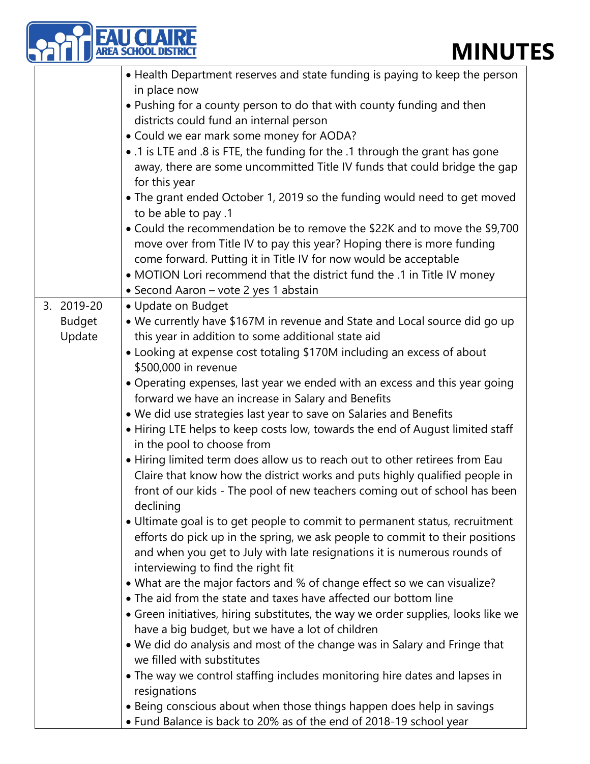|                         | EA SCHOOL DISTRIC<br><b>MINUT</b>                                                                                                                                                                                                                                             |
|-------------------------|-------------------------------------------------------------------------------------------------------------------------------------------------------------------------------------------------------------------------------------------------------------------------------|
|                         | • Health Department reserves and state funding is paying to keep the person<br>in place now<br>• Pushing for a county person to do that with county funding and then                                                                                                          |
|                         | districts could fund an internal person<br>• Could we ear mark some money for AODA?<br>• .1 is LTE and .8 is FTE, the funding for the .1 through the grant has gone<br>away, there are some uncommitted Title IV funds that could bridge the gap                              |
|                         | for this year<br>• The grant ended October 1, 2019 so the funding would need to get moved<br>to be able to pay .1<br>• Could the recommendation be to remove the \$22K and to move the \$9,700                                                                                |
|                         | move over from Title IV to pay this year? Hoping there is more funding<br>come forward. Putting it in Title IV for now would be acceptable<br>• MOTION Lori recommend that the district fund the .1 in Title IV money                                                         |
| 3. 2019-20              | · Second Aaron - vote 2 yes 1 abstain<br>• Update on Budget                                                                                                                                                                                                                   |
| <b>Budget</b><br>Update | • We currently have \$167M in revenue and State and Local source did go up<br>this year in addition to some additional state aid<br>• Looking at expense cost totaling \$170M including an excess of about                                                                    |
|                         | \$500,000 in revenue<br>• Operating expenses, last year we ended with an excess and this year going<br>forward we have an increase in Salary and Benefits<br>. We did use strategies last year to save on Salaries and Benefits                                               |
|                         | • Hiring LTE helps to keep costs low, towards the end of August limited staff<br>in the pool to choose from                                                                                                                                                                   |
|                         | • Hiring limited term does allow us to reach out to other retirees from Eau<br>Claire that know how the district works and puts highly qualified people in<br>front of our kids - The pool of new teachers coming out of school has been<br>declining                         |
|                         | • Ultimate goal is to get people to commit to permanent status, recruitment<br>efforts do pick up in the spring, we ask people to commit to their positions<br>and when you get to July with late resignations it is numerous rounds of<br>interviewing to find the right fit |
|                         | • What are the major factors and % of change effect so we can visualize?<br>• The aid from the state and taxes have affected our bottom line                                                                                                                                  |
|                         | • Green initiatives, hiring substitutes, the way we order supplies, looks like we<br>have a big budget, but we have a lot of children                                                                                                                                         |
|                         | • We did do analysis and most of the change was in Salary and Fringe that<br>we filled with substitutes                                                                                                                                                                       |
|                         | • The way we control staffing includes monitoring hire dates and lapses in<br>resignations                                                                                                                                                                                    |
|                         | • Being conscious about when those things happen does help in savings<br>• Fund Balance is back to 20% as of the end of 2018-19 school year                                                                                                                                   |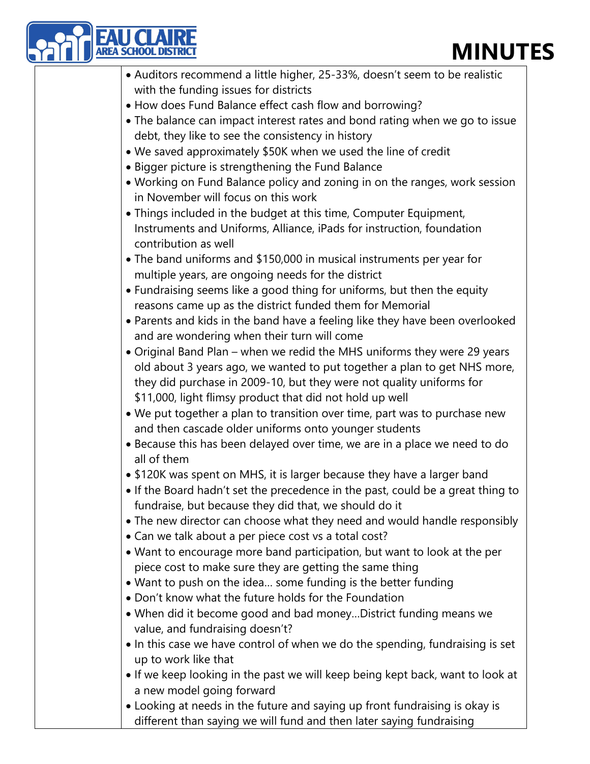| <b>MINUT</b>                                                                              |
|-------------------------------------------------------------------------------------------|
| • Auditors recommend a little higher, 25-33%, doesn't seem to be realistic                |
| with the funding issues for districts                                                     |
| • How does Fund Balance effect cash flow and borrowing?                                   |
| • The balance can impact interest rates and bond rating when we go to issue               |
| debt, they like to see the consistency in history                                         |
| • We saved approximately \$50K when we used the line of credit                            |
| • Bigger picture is strengthening the Fund Balance                                        |
| • Working on Fund Balance policy and zoning in on the ranges, work session                |
| in November will focus on this work                                                       |
| • Things included in the budget at this time, Computer Equipment,                         |
| Instruments and Uniforms, Alliance, iPads for instruction, foundation                     |
| contribution as well                                                                      |
| • The band uniforms and \$150,000 in musical instruments per year for                     |
| multiple years, are ongoing needs for the district                                        |
| • Fundraising seems like a good thing for uniforms, but then the equity                   |
| reasons came up as the district funded them for Memorial                                  |
| • Parents and kids in the band have a feeling like they have been overlooked              |
| and are wondering when their turn will come                                               |
| • Original Band Plan – when we redid the MHS uniforms they were 29 years                  |
| old about 3 years ago, we wanted to put together a plan to get NHS more,                  |
| they did purchase in 2009-10, but they were not quality uniforms for                      |
| \$11,000, light flimsy product that did not hold up well                                  |
| . We put together a plan to transition over time, part was to purchase new                |
| and then cascade older uniforms onto younger students                                     |
| • Because this has been delayed over time, we are in a place we need to do<br>all of them |
| • \$120K was spent on MHS, it is larger because they have a larger band                   |
| • If the Board hadn't set the precedence in the past, could be a great thing to           |
| fundraise, but because they did that, we should do it                                     |
| • The new director can choose what they need and would handle responsibly                 |
| • Can we talk about a per piece cost vs a total cost?                                     |
| • Want to encourage more band participation, but want to look at the per                  |
| piece cost to make sure they are getting the same thing                                   |
| • Want to push on the idea some funding is the better funding                             |
| • Don't know what the future holds for the Foundation                                     |
| . When did it become good and bad money District funding means we                         |
| value, and fundraising doesn't?                                                           |
| . In this case we have control of when we do the spending, fundraising is set             |
| up to work like that                                                                      |
| • If we keep looking in the past we will keep being kept back, want to look at            |
| a new model going forward                                                                 |
| • Looking at needs in the future and saying up front fundraising is okay is               |
| different than saying we will fund and then later saying fundraising                      |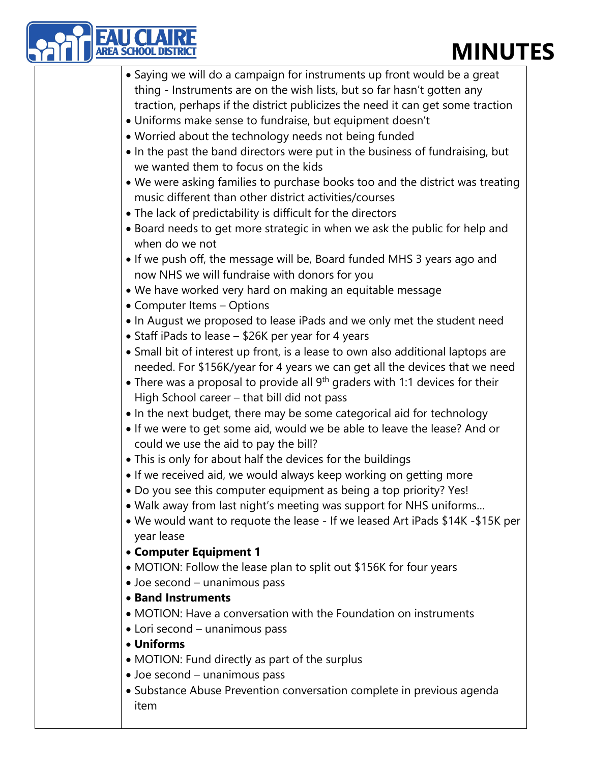| <b>MINUT</b><br><b>EA SCHOOL DISTRI</b>                                                                                                                        |
|----------------------------------------------------------------------------------------------------------------------------------------------------------------|
| • Saying we will do a campaign for instruments up front would be a great                                                                                       |
| thing - Instruments are on the wish lists, but so far hasn't gotten any                                                                                        |
| traction, perhaps if the district publicizes the need it can get some traction                                                                                 |
| . Uniforms make sense to fundraise, but equipment doesn't                                                                                                      |
| . Worried about the technology needs not being funded                                                                                                          |
| • In the past the band directors were put in the business of fundraising, but                                                                                  |
| we wanted them to focus on the kids                                                                                                                            |
| . We were asking families to purchase books too and the district was treating<br>music different than other district activities/courses                        |
| • The lack of predictability is difficult for the directors                                                                                                    |
| • Board needs to get more strategic in when we ask the public for help and<br>when do we not                                                                   |
| • If we push off, the message will be, Board funded MHS 3 years ago and<br>now NHS we will fundraise with donors for you                                       |
| . We have worked very hard on making an equitable message                                                                                                      |
| • Computer Items - Options                                                                                                                                     |
| • In August we proposed to lease iPads and we only met the student need                                                                                        |
| • Staff iPads to lease - \$26K per year for 4 years                                                                                                            |
| • Small bit of interest up front, is a lease to own also additional laptops are<br>needed. For \$156K/year for 4 years we can get all the devices that we need |
| • There was a proposal to provide all $9th$ graders with 1:1 devices for their<br>High School career - that bill did not pass                                  |
| . In the next budget, there may be some categorical aid for technology                                                                                         |
| . If we were to get some aid, would we be able to leave the lease? And or<br>could we use the aid to pay the bill?                                             |
| • This is only for about half the devices for the buildings                                                                                                    |
| . If we received aid, we would always keep working on getting more                                                                                             |
| • Do you see this computer equipment as being a top priority? Yes!                                                                                             |
| • Walk away from last night's meeting was support for NHS uniforms                                                                                             |
| • We would want to requote the lease - If we leased Art iPads \$14K -\$15K per<br>year lease                                                                   |
| • Computer Equipment 1                                                                                                                                         |
| • MOTION: Follow the lease plan to split out \$156K for four years                                                                                             |
| • Joe second - unanimous pass                                                                                                                                  |
| • Band Instruments                                                                                                                                             |
| • MOTION: Have a conversation with the Foundation on instruments                                                                                               |
| • Lori second – unanimous pass                                                                                                                                 |
| • Uniforms                                                                                                                                                     |
| • MOTION: Fund directly as part of the surplus                                                                                                                 |
| • Joe second - unanimous pass                                                                                                                                  |
| • Substance Abuse Prevention conversation complete in previous agenda<br>item                                                                                  |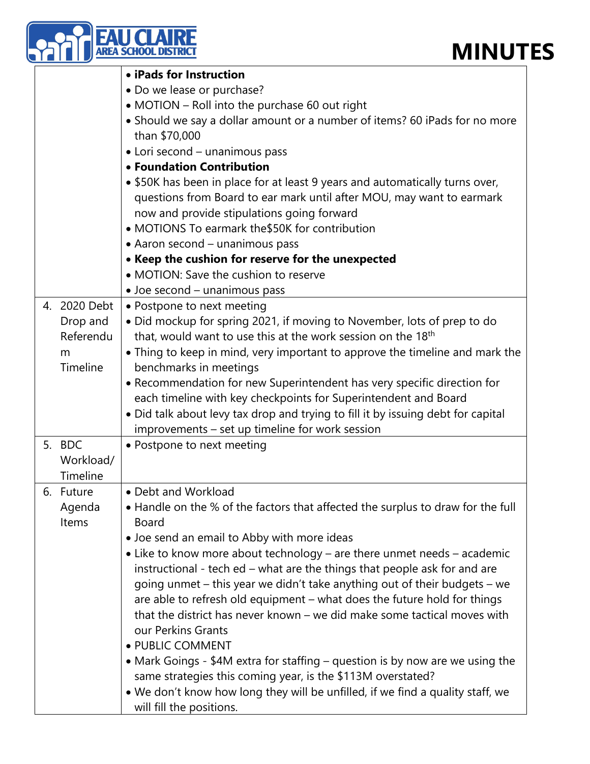|    |                       | <b>MINU1</b><br><b>REA SCHOOL DIS</b>                                                           |
|----|-----------------------|-------------------------------------------------------------------------------------------------|
|    |                       | • iPads for Instruction                                                                         |
|    |                       | • Do we lease or purchase?                                                                      |
|    |                       | • MOTION - Roll into the purchase 60 out right                                                  |
|    |                       | • Should we say a dollar amount or a number of items? 60 iPads for no more                      |
|    |                       | than \$70,000                                                                                   |
|    |                       | • Lori second - unanimous pass                                                                  |
|    |                       | • Foundation Contribution                                                                       |
|    |                       | • \$50K has been in place for at least 9 years and automatically turns over,                    |
|    |                       | questions from Board to ear mark until after MOU, may want to earmark                           |
|    |                       | now and provide stipulations going forward                                                      |
|    |                       | • MOTIONS To earmark the \$50K for contribution                                                 |
|    |                       | • Aaron second - unanimous pass                                                                 |
|    |                       | • Keep the cushion for reserve for the unexpected                                               |
|    |                       | • MOTION: Save the cushion to reserve                                                           |
|    |                       |                                                                                                 |
|    | 4. 2020 Debt          | · Joe second - unanimous pass                                                                   |
|    |                       | • Postpone to next meeting                                                                      |
|    | Drop and<br>Referendu | • Did mockup for spring 2021, if moving to November, lots of prep to do                         |
|    |                       | that, would want to use this at the work session on the 18 <sup>th</sup>                        |
|    | m<br>Timeline         | • Thing to keep in mind, very important to approve the timeline and mark the                    |
|    |                       | benchmarks in meetings                                                                          |
|    |                       | • Recommendation for new Superintendent has very specific direction for                         |
|    |                       | each timeline with key checkpoints for Superintendent and Board                                 |
|    |                       | • Did talk about levy tax drop and trying to fill it by issuing debt for capital                |
|    |                       | improvements – set up timeline for work session                                                 |
|    | 5. BDC                | • Postpone to next meeting                                                                      |
|    | Workload/             |                                                                                                 |
|    | Timeline              |                                                                                                 |
| 6. | Future                | • Debt and Workload                                                                             |
|    | Agenda<br>Items       | • Handle on the % of the factors that affected the surplus to draw for the full<br><b>Board</b> |
|    |                       |                                                                                                 |
|    |                       | • Joe send an email to Abby with more ideas                                                     |
|    |                       | • Like to know more about technology – are there unmet needs – academic                         |
|    |                       | instructional - tech ed – what are the things that people ask for and are                       |
|    |                       | going unmet – this year we didn't take anything out of their budgets – we                       |
|    |                       | are able to refresh old equipment – what does the future hold for things                        |
|    |                       | that the district has never known - we did make some tactical moves with                        |
|    |                       | our Perkins Grants                                                                              |
|    |                       | · PUBLIC COMMENT<br>$M$ ork $C$ ojnge $\phi$ AM ovtro for staffing questi                       |

- Mark Goings \$4M extra for staffing question is by now are we using the same strategies this coming year, is the \$113M overstated?
	- We don't know how long they will be unfilled, if we find a quality staff, we will fill the positions.